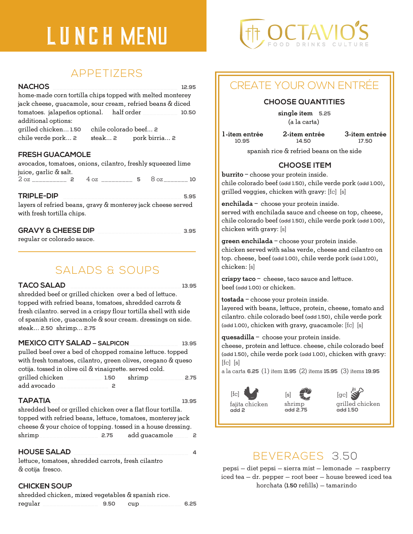# LUNCH MENU FOOD DRINKS

### APPETIZERS

### **NACHOS** \_\_\_\_\_\_\_\_\_\_\_\_\_\_\_\_\_\_\_\_\_\_\_\_\_\_\_\_\_\_\_\_\_\_\_\_ **12.95**

home-made corn tortilla chips topped with melted monterey jack cheese, guacamole, sour cream, refried beans & diced tomatoes. jalapeños optional. half order \_\_\_\_\_\_\_\_\_\_ **10.50** additional options:

grilled chicken... **1.50** chile colorado beef... **2** chile verde pork... **2** steak... **2** pork birria... **2**

### **FRESH GUACAMOLE**

avocados, tomatoes, onions, cilantro, freshly squeezed lime juice, garlic & salt.

2 oz \_\_\_\_\_\_\_\_\_\_ **2** 4 oz \_\_\_\_\_\_\_\_\_ **5** 8 oz \_\_\_\_\_\_\_ **10**

#### **TRIPLE-DIP** \_\_\_\_\_\_\_\_\_\_\_\_\_\_\_\_\_\_\_\_\_\_\_\_\_\_\_\_\_\_\_\_\_\_ **5.95**

layers of refried beans, gravy & monterey jack cheese served with fresh tortilla chips.

### **GRAVY & CHEESE DIP** \_\_\_\_\_\_\_\_\_\_\_\_\_\_\_\_\_\_\_\_\_\_\_\_ **3.95**

regular or colorado sauce.

## SALADS & SOUPS

#### **TACO SALAD** \_\_\_\_\_\_\_\_\_\_\_\_\_\_\_\_\_\_\_\_\_\_\_\_\_\_\_\_\_\_\_\_ **13.95**

shredded beef or grilled chicken over a bed of lettuce. topped with refried beans, tomatoes, shredded carrots & fresh cilantro. served in a crispy flour tortilla shell with side of spanish rice, guacamole & sour cream. dressings on side. steak... **2.50** shrimp... **2.75**

#### **MEXICO CITY SALAD — SALPICON**\_\_\_\_\_\_\_\_\_\_\_\_\_\_ **13.95**

pulled beef over a bed of chopped romaine lettuce. topped with fresh tomatoes, cilantro, green olives, oregano & queso cotija. tossed in olive oil & vinaigrette. served cold. grilled chicken \_\_\_\_\_\_\_\_\_\_ **1.50** shrimp \_\_\_\_\_\_\_\_\_\_**2.75** add avocado \_\_\_\_\_\_\_\_\_\_\_\_\_\_\_ **2**

#### **TAPATIA** \_\_\_\_\_\_\_\_\_\_\_\_\_\_\_\_\_\_\_\_\_\_\_\_\_\_\_\_\_\_\_\_\_\_\_\_ **13.95**

shredded beef or grilled chicken over a flat flour tortilla. topped with refried beans, lettuce, tomatoes, monterey jack cheese & your choice of topping. tossed in a house dressing. shrimp\_\_\_\_\_\_\_\_\_\_\_\_\_\_\_\_\_ **2.75** add guacamole \_\_\_\_ **2**

### **HOUSE SALAD** \_\_\_\_\_\_\_\_\_\_\_\_\_\_\_\_\_\_\_\_\_\_\_\_\_\_\_\_\_\_\_\_\_ **4**

lettuce, tomatoes, shredded carrots, fresh cilantro & cotija fresco.

### **CHICKEN SOUP**

| shredded chicken, mixed vegetables & spanish rice. |      |     |      |  |
|----------------------------------------------------|------|-----|------|--|
| regular                                            | 9.50 | cup | 6.25 |  |



# CREATE YOUR OWN ENTRÉE

### **CHOOSE QUANTITIES**

single item **5.25** (a la carta)

1-item entrée **10.95**

2-item entrée **14.50**

3-item entrée **17.50**

spanish rice & refried beans on the side

### **CHOOSE ITEM**

burrito – choose your protein inside. chile colorado beef **(add 1.50)**, chile verde pork **(add 1.00)**, grilled veggies, chicken with gravy: [fc] [s]

enchilada – choose your protein inside.

served with enchilada sauce and cheese on top, cheese, chile colorado beef **(add 1.50)**, chile verde pork **(add 1.00)**, chicken with gravy: [s]

green enchilada – choose your protein inside. chicken served with salsa verde, cheese and cilantro on top. cheese, beef **(add 1.00)**, chile verde pork **(add 1.00)**, chicken: [s]

crispy taco – cheese, taco sauce and lettuce. beef **(add 1.00)** or chicken.

tostada – choose your protein inside.

layered with beans, lettuce, protein, cheese, tomato and cilantro. chile colorado beef **(add 1.50)**, chile verde pork **(add 1.00)**, chicken with gravy, guacamole: [fc] [s]

quesadilla – choose your protein inside.

cheese, protein and lettuce. cheese, chile colorado beef **(add 1.50)**, chile verde pork **(add 1.00)**, chicken with gravy:  $[fc]$   $[s]$ 

a la carta **6.25** (1) item **11.95** (2) items **15.95** (3) items **19.95**







## BEVERAGES 3.50

pepsi — diet pepsi — sierra mist — lemonade — raspberry iced tea — dr. pepper — root beer — house brewed iced tea horchata (**1.50** refills) — tamarindo